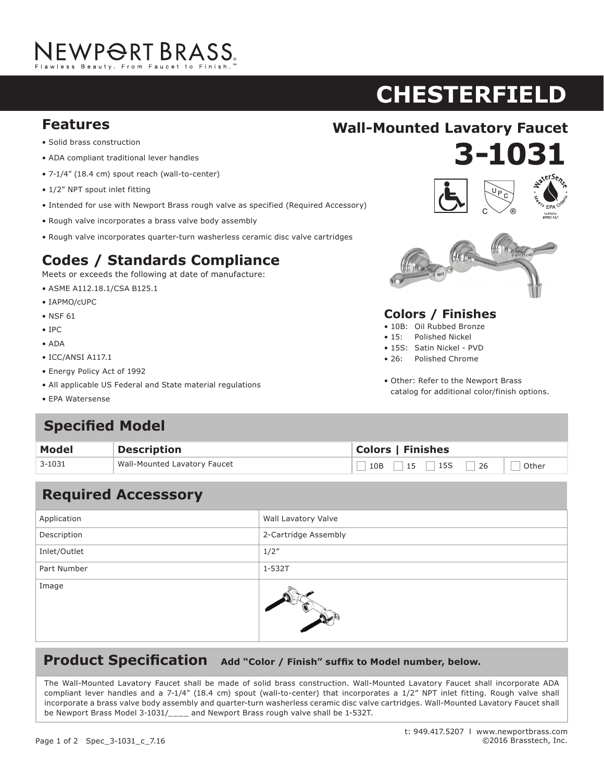## NEWPORT BRASS.

# **CHESTERFIELD ASTOR**

- **•** Solid brass construction
- ADA compliant traditional lever handles
- 7-1/4" (18.4 cm) spout reach (wall-to-center)
- $\bullet$  1/2" NPT spout inlet fitting
- $\bullet$  Intended for use with Newport Brass rough valve as specified (Required Accessory)
- $\bullet$  Rough valve incorporates a brass valve body assembly
- Rough valve incorporates quarter-turn washerless ceramic disc valve cartridges

### **Codes / Standards Compliance**

Meets or exceeds the following at date of manufacture:  $\frac{1}{2}$ 

- ASME A112.18.1/CSA B125.1
- IAPMO/cUPC
- NSF  $61$
- IPC
- ADA **Codes / Standards Compliance**
- $\bullet$  ICC/ANSI A117.1
- Energy Policy Act of 1992
- All applicable US Federal and State material regulations
- EPA Watersense



**3-1031 920**



#### **Colors / Finishes**

- 10B: Oil Rubbed Bronze
- 15: Polished Nickel
- 15S: Satin Nickel PVD
- 26: Polished Chrome
- Other: Refer to the Newport Brass catalog for additional color/finish options.

#### **Specified Model** • ADA

| <b>Model</b> | Description                  | <b>Colors   Finishes</b> |
|--------------|------------------------------|--------------------------|
| 3-1031       | Wall-Mounted Lavatory Faucet | $10B$ 15 15 26<br>Other  |

#### Application **Wall Lavatory Valve** Description 2-Cartridge Assembly Inlet/Outlet 1/2" **Specified Model** Part Number 2012 11-532T Image **Required Accesssory** • EPA WaterSense® • 15S: Satin Nickel • Other: Refer to the Newport Brass catalog for **Modell Example 3 Colors 3 Colors 3 Colors 3 Colors 3 Colors 3 Colors 3 Colors 3 Colors 3 Colors 3 Colors 3 Colors 3 Colors 3 Colors 3 Colors 3 Colors 3 Colors 3 Colors 3 Colors 3 Colo**  $\mathbb{R}$

#### **Product Specification** Add "Color / Finish" suffix to Model number, below.

The Wall-Mounted Lavatory Faucet shall be made of solid brass construction. Wall-Mounted Lavatory Faucet shall incorporate ADA<br>The Wall-Mounted Lavatory Faucet shall be made of solid brass construction. Wall-Mounted Lavato compliant lever handles and a 7-1/4" (18.4 cm) spout (wall-to-center) that incorporates a 1/2" NPT inlet fitting. Rough valve shall incorporate a brass valve body assembly and quarter-turn washerless ceramic disc valve cartridges. Wall-Mounted Lavatory Faucet shall neorporate a brass varve boay assembly and quarter tam mashemess ceramic also valve carenages. Mail modified Eavatory radect shall be Newport Brass Model 3-1031/\_\_\_\_ and Newport Brass rough valve shall be 1-532T. incorporate a  $3-10$  cm  $\frac{1}{2}$  cm and a spout brass rought valve shall be a pop-up.